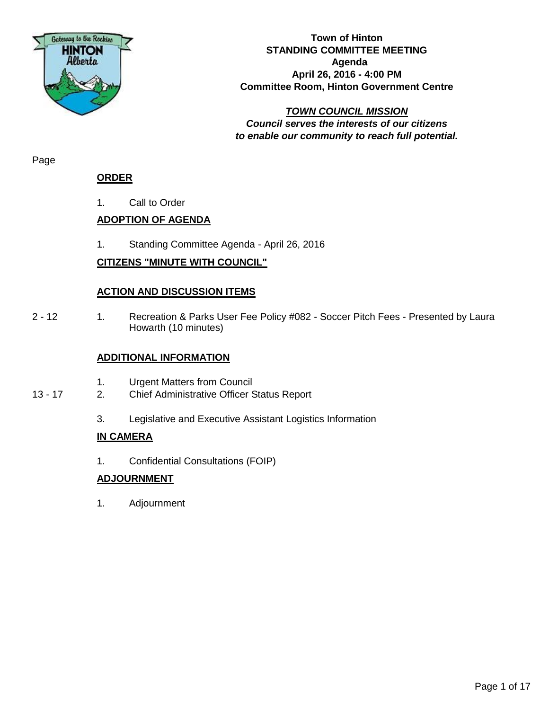

#### **Town of Hinton STANDING COMMITTEE MEETING Agenda April 26, 2016 - 4:00 PM Committee Room, Hinton Government Centre**

*TOWN COUNCIL MISSION Council serves the interests of our citizens to enable our community to reach full potential.*

Page

### **ORDER**

1. Call to Order

## **ADOPTION OF AGENDA**

1. Standing Committee Agenda - April 26, 2016

## **CITIZENS "MINUTE WITH COUNCIL"**

### **ACTION AND DISCUSSION ITEMS**

2 - 12 1. Recreation & Parks User Fee Policy #082 - Soccer Pitch Fees - Presented by Laura Howarth (10 minutes)

### **ADDITIONAL INFORMATION**

- 1. Urgent Matters from Council
- 13 17 2. Chief Administrative Officer Status Report
	- 3. Legislative and Executive Assistant Logistics Information

### **IN CAMERA**

1. Confidential Consultations (FOIP)

## **ADJOURNMENT**

1. Adjournment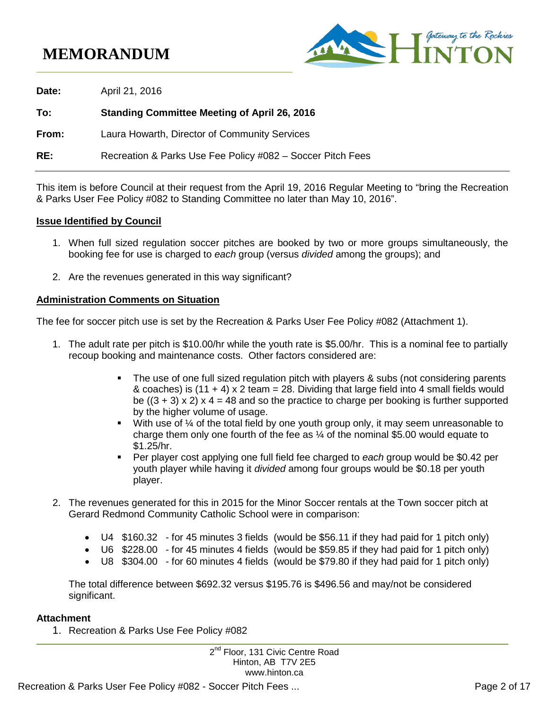# **MEMORANDUM**



**Date:** April 21, 2016 **To: Standing Committee Meeting of April 26, 2016 From:** Laura Howarth, Director of Community Services **RE:** Recreation & Parks Use Fee Policy #082 – Soccer Pitch Fees

This item is before Council at their request from the April 19, 2016 Regular Meeting to "bring the Recreation & Parks User Fee Policy #082 to Standing Committee no later than May 10, 2016".

#### **Issue Identified by Council**

- 1. When full sized regulation soccer pitches are booked by two or more groups simultaneously, the booking fee for use is charged to *each* group (versus *divided* among the groups); and
- 2. Are the revenues generated in this way significant?

#### **Administration Comments on Situation**

The fee for soccer pitch use is set by the Recreation & Parks User Fee Policy #082 (Attachment 1).

- 1. The adult rate per pitch is \$10.00/hr while the youth rate is \$5.00/hr. This is a nominal fee to partially recoup booking and maintenance costs. Other factors considered are:
	- The use of one full sized regulation pitch with players & subs (not considering parents & coaches) is  $(11 + 4)$  x 2 team = 28. Dividing that large field into 4 small fields would be  $((3 + 3) \times 2) \times 4 = 48$  and so the practice to charge per booking is further supported by the higher volume of usage.
	- $\blacksquare$  With use of  $\frac{1}{4}$  of the total field by one youth group only, it may seem unreasonable to charge them only one fourth of the fee as  $\frac{1}{4}$  of the nominal \$5.00 would equate to \$1.25/hr.
	- Per player cost applying one full field fee charged to *each* group would be \$0.42 per youth player while having it *divided* among four groups would be \$0.18 per youth player.
- 2. The revenues generated for this in 2015 for the Minor Soccer rentals at the Town soccer pitch at Gerard Redmond Community Catholic School were in comparison:
	- U4 \$160.32 for 45 minutes 3 fields (would be \$56.11 if they had paid for 1 pitch only)
	- U6 \$228.00 for 45 minutes 4 fields (would be \$59.85 if they had paid for 1 pitch only)
	- U8 \$304.00 for 60 minutes 4 fields (would be \$79.80 if they had paid for 1 pitch only)

The total difference between \$692.32 versus \$195.76 is \$496.56 and may/not be considered significant.

#### **Attachment**

1. Recreation & Parks Use Fee Policy #082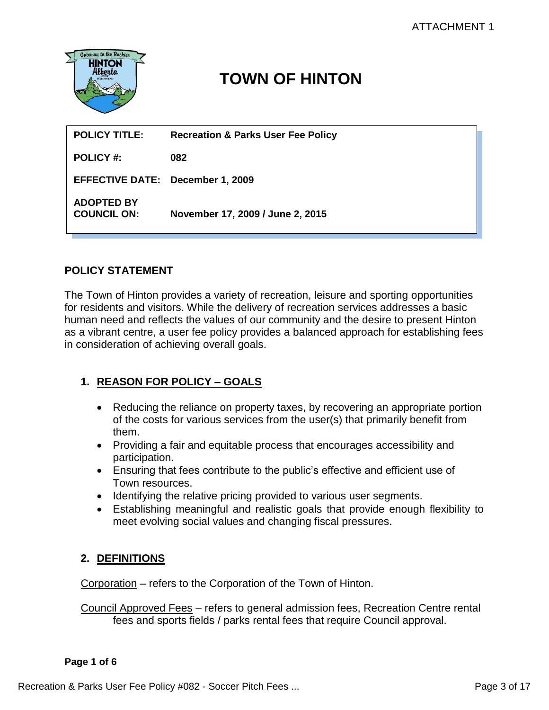

# **TOWN OF HINTON**

| <b>POLICY TITLE:</b>                    | <b>Recreation &amp; Parks User Fee Policy</b> |
|-----------------------------------------|-----------------------------------------------|
| <b>POLICY #:</b>                        | 082                                           |
| <b>EFFECTIVE DATE: December 1, 2009</b> |                                               |
| <b>ADOPTED BY</b><br><b>COUNCIL ON:</b> | November 17, 2009 / June 2, 2015              |

## **POLICY STATEMENT**

The Town of Hinton provides a variety of recreation, leisure and sporting opportunities for residents and visitors. While the delivery of recreation services addresses a basic human need and reflects the values of our community and the desire to present Hinton as a vibrant centre, a user fee policy provides a balanced approach for establishing fees in consideration of achieving overall goals.

# **1. REASON FOR POLICY – GOALS**

- Reducing the reliance on property taxes, by recovering an appropriate portion of the costs for various services from the user(s) that primarily benefit from them.
- Providing a fair and equitable process that encourages accessibility and participation.
- Ensuring that fees contribute to the public's effective and efficient use of Town resources.
- Identifying the relative pricing provided to various user segments.
- Establishing meaningful and realistic goals that provide enough flexibility to meet evolving social values and changing fiscal pressures.

## **2. DEFINITIONS**

Corporation – refers to the Corporation of the Town of Hinton.

Council Approved Fees – refers to general admission fees, Recreation Centre rental fees and sports fields / parks rental fees that require Council approval.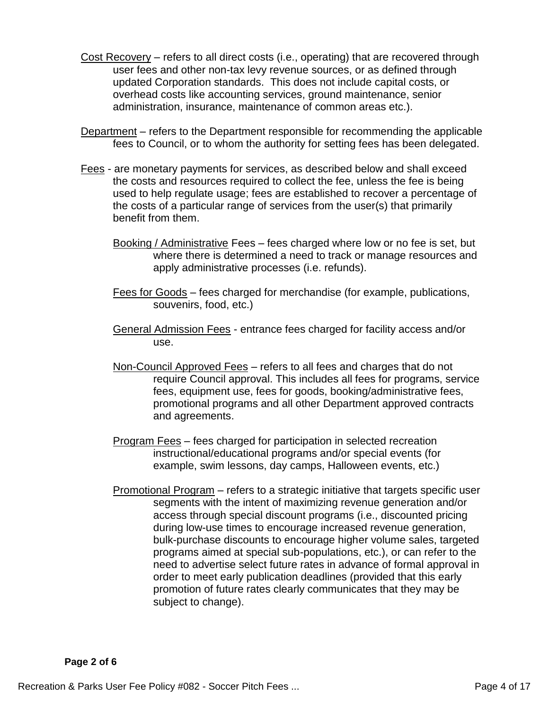- Cost Recovery refers to all direct costs (i.e., operating) that are recovered through user fees and other non-tax levy revenue sources, or as defined through updated Corporation standards. This does not include capital costs, or overhead costs like accounting services, ground maintenance, senior administration, insurance, maintenance of common areas etc.).
- Department refers to the Department responsible for recommending the applicable fees to Council, or to whom the authority for setting fees has been delegated.
- Fees are monetary payments for services, as described below and shall exceed the costs and resources required to collect the fee, unless the fee is being used to help regulate usage; fees are established to recover a percentage of the costs of a particular range of services from the user(s) that primarily benefit from them.
	- Booking / Administrative Fees fees charged where low or no fee is set, but where there is determined a need to track or manage resources and apply administrative processes (i.e. refunds).
	- Fees for Goods fees charged for merchandise (for example, publications, souvenirs, food, etc.)
	- General Admission Fees entrance fees charged for facility access and/or use.
	- Non-Council Approved Fees refers to all fees and charges that do not require Council approval. This includes all fees for programs, service fees, equipment use, fees for goods, booking/administrative fees, promotional programs and all other Department approved contracts and agreements.
	- Program Fees fees charged for participation in selected recreation instructional/educational programs and/or special events (for example, swim lessons, day camps, Halloween events, etc.)
	- Promotional Program refers to a strategic initiative that targets specific user segments with the intent of maximizing revenue generation and/or access through special discount programs (i.e., discounted pricing during low-use times to encourage increased revenue generation, bulk-purchase discounts to encourage higher volume sales, targeted programs aimed at special sub-populations, etc.), or can refer to the need to advertise select future rates in advance of formal approval in order to meet early publication deadlines (provided that this early promotion of future rates clearly communicates that they may be subject to change).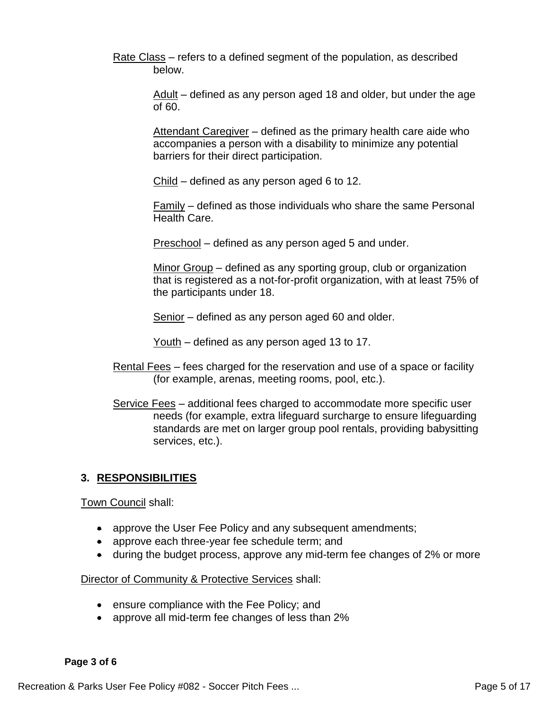Rate Class – refers to a defined segment of the population, as described below.

> Adult – defined as any person aged 18 and older, but under the age of 60.

Attendant Caregiver - defined as the primary health care aide who accompanies a person with a disability to minimize any potential barriers for their direct participation.

Child – defined as any person aged 6 to 12.

Family – defined as those individuals who share the same Personal Health Care.

Preschool – defined as any person aged 5 and under.

Minor Group – defined as any sporting group, club or organization that is registered as a not-for-profit organization, with at least 75% of the participants under 18.

Senior – defined as any person aged 60 and older.

Youth – defined as any person aged 13 to 17.

- Rental Fees fees charged for the reservation and use of a space or facility (for example, arenas, meeting rooms, pool, etc.).
- Service Fees additional fees charged to accommodate more specific user needs (for example, extra lifeguard surcharge to ensure lifeguarding standards are met on larger group pool rentals, providing babysitting services, etc.).

## **3. RESPONSIBILITIES**

Town Council shall:

- approve the User Fee Policy and any subsequent amendments;
- approve each three-year fee schedule term; and
- during the budget process, approve any mid-term fee changes of 2% or more

Director of Community & Protective Services shall:

- ensure compliance with the Fee Policy; and
- approve all mid-term fee changes of less than 2%

#### **Page 3 of 6**

Recreation & Parks User Fee Policy #082 - Soccer Pitch Fees ... Page 5 of 17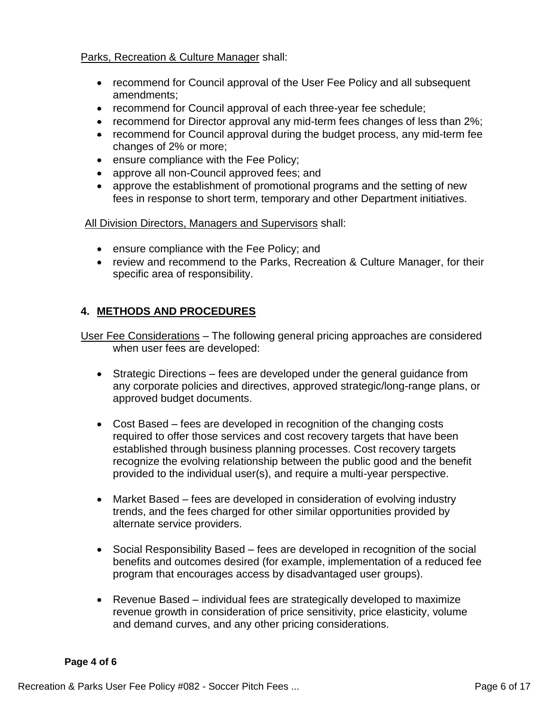#### Parks, Recreation & Culture Manager shall:

- recommend for Council approval of the User Fee Policy and all subsequent amendments;
- recommend for Council approval of each three-year fee schedule;
- recommend for Director approval any mid-term fees changes of less than 2%;
- recommend for Council approval during the budget process, any mid-term fee changes of 2% or more;
- ensure compliance with the Fee Policy;
- approve all non-Council approved fees; and
- approve the establishment of promotional programs and the setting of new fees in response to short term, temporary and other Department initiatives.

All Division Directors, Managers and Supervisors shall:

- ensure compliance with the Fee Policy; and
- review and recommend to the Parks, Recreation & Culture Manager, for their specific area of responsibility.

## **4. METHODS AND PROCEDURES**

User Fee Considerations – The following general pricing approaches are considered when user fees are developed:

- Strategic Directions fees are developed under the general guidance from any corporate policies and directives, approved strategic/long-range plans, or approved budget documents.
- Cost Based fees are developed in recognition of the changing costs required to offer those services and cost recovery targets that have been established through business planning processes. Cost recovery targets recognize the evolving relationship between the public good and the benefit provided to the individual user(s), and require a multi-year perspective.
- Market Based fees are developed in consideration of evolving industry trends, and the fees charged for other similar opportunities provided by alternate service providers.
- Social Responsibility Based fees are developed in recognition of the social benefits and outcomes desired (for example, implementation of a reduced fee program that encourages access by disadvantaged user groups).
- Revenue Based individual fees are strategically developed to maximize revenue growth in consideration of price sensitivity, price elasticity, volume and demand curves, and any other pricing considerations.

#### **Page 4 of 6**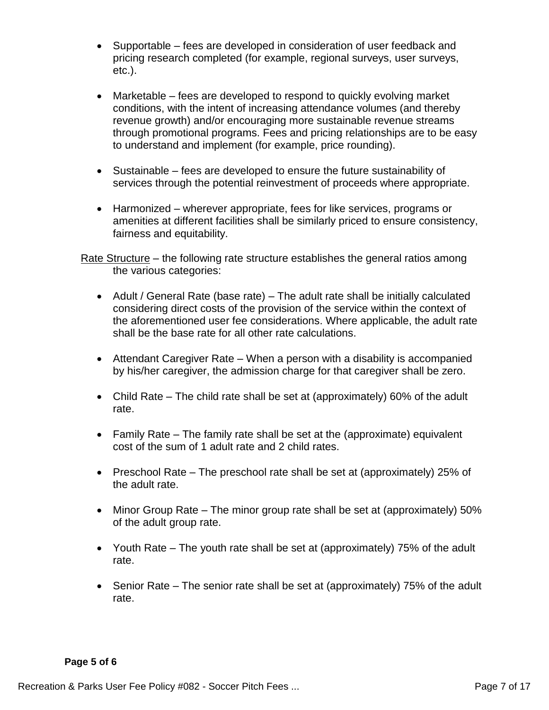- Supportable fees are developed in consideration of user feedback and pricing research completed (for example, regional surveys, user surveys, etc.).
- Marketable fees are developed to respond to quickly evolving market conditions, with the intent of increasing attendance volumes (and thereby revenue growth) and/or encouraging more sustainable revenue streams through promotional programs. Fees and pricing relationships are to be easy to understand and implement (for example, price rounding).
- Sustainable fees are developed to ensure the future sustainability of services through the potential reinvestment of proceeds where appropriate.
- Harmonized wherever appropriate, fees for like services, programs or amenities at different facilities shall be similarly priced to ensure consistency, fairness and equitability.

Rate Structure – the following rate structure establishes the general ratios among the various categories:

- Adult / General Rate (base rate) The adult rate shall be initially calculated considering direct costs of the provision of the service within the context of the aforementioned user fee considerations. Where applicable, the adult rate shall be the base rate for all other rate calculations.
- Attendant Caregiver Rate When a person with a disability is accompanied by his/her caregiver, the admission charge for that caregiver shall be zero.
- Child Rate The child rate shall be set at (approximately) 60% of the adult rate.
- Family Rate The family rate shall be set at the (approximate) equivalent cost of the sum of 1 adult rate and 2 child rates.
- Preschool Rate The preschool rate shall be set at (approximately) 25% of the adult rate.
- Minor Group Rate The minor group rate shall be set at (approximately) 50% of the adult group rate.
- Youth Rate The youth rate shall be set at (approximately) 75% of the adult rate.
- Senior Rate The senior rate shall be set at (approximately) 75% of the adult rate.

#### **Page 5 of 6**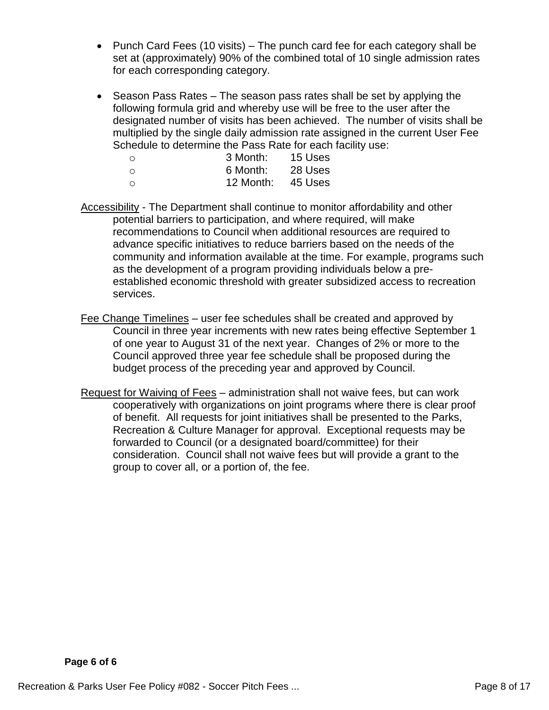- Punch Card Fees (10 visits) The punch card fee for each category shall be set at (approximately) 90% of the combined total of 10 single admission rates for each corresponding category.
- Season Pass Rates The season pass rates shall be set by applying the following formula grid and whereby use will be free to the user after the designated number of visits has been achieved. The number of visits shall be multiplied by the single daily admission rate assigned in the current User Fee Schedule to determine the Pass Rate for each facility use:

| ∩ | 3 Month:  | 15 Uses |
|---|-----------|---------|
| ∩ | 6 Month:  | 28 Uses |
| ∩ | 12 Month: | 45 Uses |

- Accessibility The Department shall continue to monitor affordability and other potential barriers to participation, and where required, will make recommendations to Council when additional resources are required to advance specific initiatives to reduce barriers based on the needs of the community and information available at the time. For example, programs such as the development of a program providing individuals below a preestablished economic threshold with greater subsidized access to recreation services.
- Fee Change Timelines user fee schedules shall be created and approved by Council in three year increments with new rates being effective September 1 of one year to August 31 of the next year. Changes of 2% or more to the Council approved three year fee schedule shall be proposed during the budget process of the preceding year and approved by Council.
- Request for Waiving of Fees administration shall not waive fees, but can work cooperatively with organizations on joint programs where there is clear proof of benefit. All requests for joint initiatives shall be presented to the Parks, Recreation & Culture Manager for approval. Exceptional requests may be forwarded to Council (or a designated board/committee) for their consideration. Council shall not waive fees but will provide a grant to the group to cover all, or a portion of, the fee.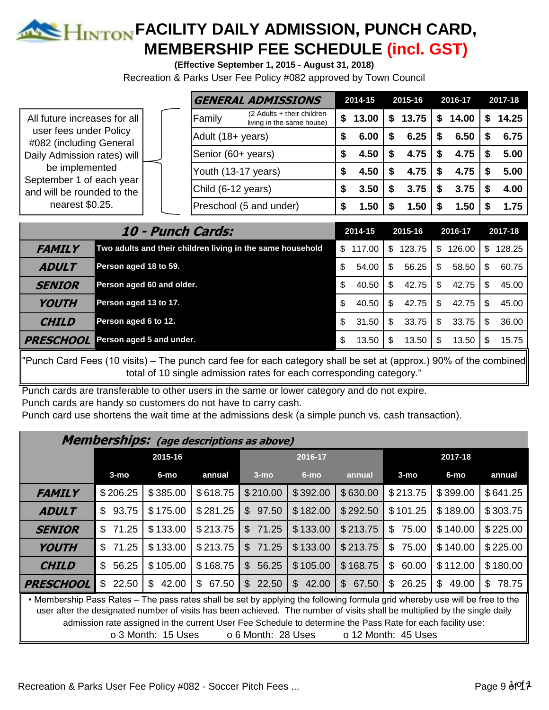# **E HINTON FACILITY DAILY ADMISSION, PUNCH CARD, MEMBERSHIP FEE SCHEDULE (incl. GST)**

**(Effective September 1, 2015 - August 31, 2018)**

Recreation & Parks User Fee Policy #082 approved by Town Council

|                                                                                  |  |                     | <b>GENERAL ADMISSIONS</b>                                 |    | 2014-15 |   | 2015-16 |     | 2016-17 | 2017-18 |
|----------------------------------------------------------------------------------|--|---------------------|-----------------------------------------------------------|----|---------|---|---------|-----|---------|---------|
| All future increases for all                                                     |  | Family              | $(2$ Adults + their children<br>living in the same house) | \$ | 13.00   | S | 13.75   | -SS | 14.00   | 14.25   |
| user fees under Policy<br>#082 (including General<br>Daily Admission rates) will |  | Adult (18+ years)   |                                                           | S  | 6.00    |   | 6.25    |     | 6.50    | 6.75    |
|                                                                                  |  | Senior (60+ years)  |                                                           | S  | 4.50    |   | 4.75    |     | 4.75    | 5.00    |
| be implemented<br>September 1 of each year                                       |  | Youth (13-17 years) |                                                           | £. | 4.50    |   | 4.75    |     | 4.75    | 5.00    |
| and will be rounded to the                                                       |  | Child (6-12 years)  |                                                           |    | 3.50    |   | 3.75    |     | 3.75    | 4.00    |
| nearest \$0.25.                                                                  |  |                     | Preschool (5 and under)                                   |    | 1.50    |   | 1.50    |     | .50     | 1.75    |

|                  | 10 - Punch Cards:                                          | 2014-15     | 2015-16 |        | 2016-17 |        | 2017-18 |        |
|------------------|------------------------------------------------------------|-------------|---------|--------|---------|--------|---------|--------|
| <b>FAMILY</b>    | Two adults and their children living in the same household | \$117.00    | \$.     | 123.75 | S.      | 126.00 | S.      | 128.25 |
| <b>ADULT</b>     | Person aged 18 to 59.                                      | \$<br>54.00 | \$.     | 56.25  | -S      | 58.50  | \$.     | 60.75  |
| <b>SENIOR</b>    | Person aged 60 and older.                                  | \$<br>40.50 | S       | 42.75  | \$.     | 42.75  | \$.     | 45.00  |
| <b>YOUTH</b>     | Person aged 13 to 17.                                      | \$<br>40.50 | S       | 42.75  | S.      | 42.75  | \$.     | 45.00  |
| <b>CHILD</b>     | Person aged 6 to 12.                                       | \$<br>31.50 | \$      | 33.75  | \$      | 33.75  | S       | 36.00  |
| <b>PRESCHOOL</b> | Person aged 5 and under.                                   | \$<br>13.50 | S       | 13.50  | \$.     | 13.50  | S.      | 15.75  |

"Punch Card Fees (10 visits) – The punch card fee for each category shall be set at (approx.) 90% of the combined total of 10 single admission rates for each corresponding category."

Punch cards are transferable to other users in the same or lower category and do not expire. Punch cards are handy so customers do not have to carry cash.

Punch card use shortens the wait time at the admissions desk (a simple punch vs. cash transaction).

|                                                                                                                                                                                                                                                                                                                                                                                                                                             | <b>Memberships:</b> (age descriptions as above) |             |                       |                         |          |                       |             |                         |             |  |  |
|---------------------------------------------------------------------------------------------------------------------------------------------------------------------------------------------------------------------------------------------------------------------------------------------------------------------------------------------------------------------------------------------------------------------------------------------|-------------------------------------------------|-------------|-----------------------|-------------------------|----------|-----------------------|-------------|-------------------------|-------------|--|--|
|                                                                                                                                                                                                                                                                                                                                                                                                                                             | 2015-16<br>2016-17                              |             |                       |                         | 2017-18  |                       |             |                         |             |  |  |
|                                                                                                                                                                                                                                                                                                                                                                                                                                             | $3-mo$                                          | 6-mo        | annual                | $3-mo$                  | $6$ -mo  | annual                | $3-mo$      | 6-mo                    | annual      |  |  |
| <b>FAMILY</b>                                                                                                                                                                                                                                                                                                                                                                                                                               | \$206.25                                        | \$385.00    | \$618.75              | \$210.00                | \$392.00 | \$630.00              | \$213.75    | \$399.00                | \$641.25    |  |  |
| <b>ADULT</b>                                                                                                                                                                                                                                                                                                                                                                                                                                | \$<br>93.75                                     | \$175.00    | \$281.25              | 97.50<br>$\mathbb{S}^-$ | \$182.00 | \$292.50              | \$101.25    | \$189.00                | \$303.75    |  |  |
| <b>SENIOR</b>                                                                                                                                                                                                                                                                                                                                                                                                                               | \$<br>71.25                                     | \$133.00    | \$213.75              | 71.25<br>\$             | \$133.00 | \$213.75              | 75.00<br>\$ | \$140.00                | \$225.00    |  |  |
| <b>YOUTH</b>                                                                                                                                                                                                                                                                                                                                                                                                                                | \$<br>71.25                                     | \$133.00    | \$213.75              | \$71.25                 | \$133.00 | \$213.75              | \$<br>75.00 | \$140.00                | \$225.00    |  |  |
| <b>CHILD</b>                                                                                                                                                                                                                                                                                                                                                                                                                                | \$<br>56.25                                     | \$105.00    | \$168.75              | \$56.25                 | \$105.00 | \$168.75              | \$<br>60.00 | \$112.00                | \$180.00    |  |  |
| <b>PRESCHOOL</b>                                                                                                                                                                                                                                                                                                                                                                                                                            | 22.50<br>\$                                     | \$<br>42.00 | $\mathbb{S}$<br>67.50 | \$22.50                 | \$42.00  | $\mathbb{S}$<br>67.50 | \$<br>26.25 | $\mathfrak{L}$<br>49.00 | \$<br>78.75 |  |  |
| . Membership Pass Rates – The pass rates shall be set by applying the following formula grid whereby use will be free to the<br>user after the designated number of visits has been achieved. The number of visits shall be multiplied by the single daily<br>admission rate assigned in the current User Fee Schedule to determine the Pass Rate for each facility use:<br>o 3 Month: 15 Uses<br>o 6 Month: 28 Uses<br>o 12 Month: 45 Uses |                                                 |             |                       |                         |          |                       |             |                         |             |  |  |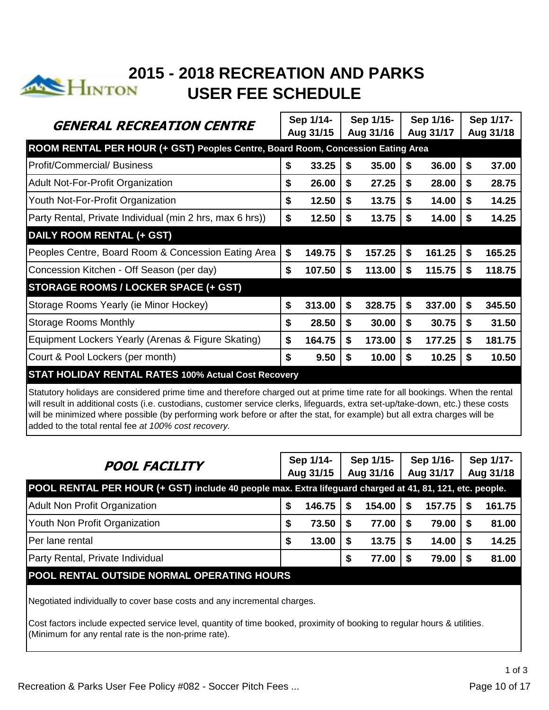

# **2015 - 2018 RECREATION AND PARKS**<br>External and the ESCHED III F **USER FEE SCHEDULE**

|                                                                                                                             |    | Sep 1/14- |           | Sep 1/15- |           | Sep 1/16- |    | Sep 1/17- |
|-----------------------------------------------------------------------------------------------------------------------------|----|-----------|-----------|-----------|-----------|-----------|----|-----------|
| GENERAL RECREATION CENTRE                                                                                                   |    | Aug 31/15 | Aug 31/16 |           | Aug 31/17 |           |    | Aug 31/18 |
| ROOM RENTAL PER HOUR (+ GST) Peoples Centre, Board Room, Concession Eating Area                                             |    |           |           |           |           |           |    |           |
| <b>IProfit/Commercial/ Business</b>                                                                                         | \$ | 33.25     | S.        | 35.00     | \$        | 36.00     | S  | 37.00     |
| Adult Not-For-Profit Organization                                                                                           | \$ | 26.00     | \$        | 27.25     | \$        | 28.00     | S  | 28.75     |
| Youth Not-For-Profit Organization                                                                                           | \$ | 12.50     | S         | 13.75     | \$        | 14.00     | S  | 14.25     |
| Party Rental, Private Individual (min 2 hrs, max 6 hrs))                                                                    | \$ | 12.50     | \$        | 13.75     | \$        | 14.00     | S  | 14.25     |
| DAILY ROOM RENTAL (+ GST)                                                                                                   |    |           |           |           |           |           |    |           |
| Peoples Centre, Board Room & Concession Eating Area                                                                         | \$ | 149.75    | \$        | 157.25    | \$        | 161.25    | S  | 165.25    |
| Concession Kitchen - Off Season (per day)                                                                                   | \$ | 107.50    | \$        | 113.00    | \$        | 115.75    | S  | 118.75    |
| <b>STORAGE ROOMS / LOCKER SPACE (+ GST)</b>                                                                                 |    |           |           |           |           |           |    |           |
| Storage Rooms Yearly (ie Minor Hockey)                                                                                      | \$ | 313.00    | \$        | 328.75    | \$        | 337.00    | S  | 345.50    |
| <b>Storage Rooms Monthly</b>                                                                                                | \$ | 28.50     | S         | 30.00     | S         | 30.75     | S  | 31.50     |
| Equipment Lockers Yearly (Arenas & Figure Skating)                                                                          | \$ | 164.75    | \$        | 173.00    | \$        | 177.25    | \$ | 181.75    |
| Court & Pool Lockers (per month)                                                                                            | \$ | 9.50      | S         | 10.00     | \$        | 10.25     | S  | 10.50     |
| <b>STAT HOLIDAY RENTAL RATES 100% Actual Cost Recovery</b>                                                                  |    |           |           |           |           |           |    |           |
| Statutory bolidays are considered prime time and therefore charged out at prime time rate for all bookings. When the rental |    |           |           |           |           |           |    |           |

 $\epsilon$  considered prime time and therefore charged out at prime time rate for all bookings. When the rental will result in additional costs (i.e. custodians, customer service clerks, lifeguards, extra set-up/take-down, etc.) these costs will be minimized where possible (by performing work before or after the stat, for example) but all extra charges will be added to the total rental fee *at 100% cost recovery.*

| <b>POOL FACILITY</b>                                                                                     | Sep 1/14- |           | Sep 1/15- |           | Sep 1/16- |           |  | Sep 1/17- |  |
|----------------------------------------------------------------------------------------------------------|-----------|-----------|-----------|-----------|-----------|-----------|--|-----------|--|
|                                                                                                          |           | Aug 31/15 |           | Aug 31/16 |           | Aug 31/17 |  | Aug 31/18 |  |
| POOL RENTAL PER HOUR (+ GST) include 40 people max. Extra lifeguard charged at 41, 81, 121, etc. people. |           |           |           |           |           |           |  |           |  |
| Adult Non Profit Organization                                                                            | S         | 146.75    |           | 154.00    | S         | 157.75    |  | 161.75    |  |
| Youth Non Profit Organization                                                                            | S         | 73.50     |           | 77.00     | -S        | 79.00     |  | 81.00     |  |
| Per lane rental                                                                                          | S         | 13.00     |           | 13.75     | -S        | 14.00     |  | 14.25     |  |
| Party Rental, Private Individual                                                                         |           |           | S         | 77.00     | S         | 79.00     |  | 81.00     |  |
| POOL RENTAL OUTSIDE NORMAL OPERATING HOURS                                                               |           |           |           |           |           |           |  |           |  |

Negotiated individually to cover base costs and any incremental charges.

Cost factors include expected service level, quantity of time booked, proximity of booking to regular hours & utilities. (Minimum for any rental rate is the non-prime rate).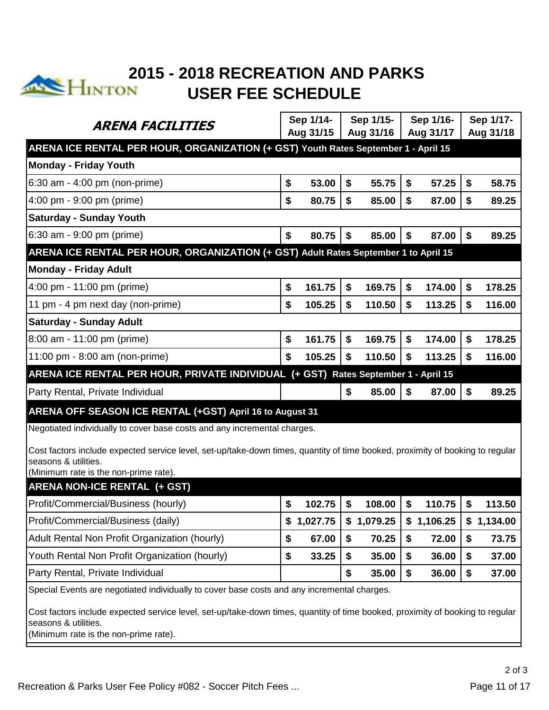

# **2015 - 2018 RECREATION AND PARKS**<br>**EXAMPLE THE SCHEDULE USER FEE SCHEDULE**

|                                                                                                                               |    | Sep 1/14-  | Sep 1/15- |            | Sep 1/16- |            | Sep 1/17-    |
|-------------------------------------------------------------------------------------------------------------------------------|----|------------|-----------|------------|-----------|------------|--------------|
| ARENA FACILITIES                                                                                                              |    | Aug 31/15  |           | Aug 31/16  |           | Aug 31/17  | Aug 31/18    |
| ARENA ICE RENTAL PER HOUR, ORGANIZATION (+ GST) Youth Rates September 1 - April 15                                            |    |            |           |            |           |            |              |
| <b>Monday - Friday Youth</b>                                                                                                  |    |            |           |            |           |            |              |
| 6:30 am - 4:00 pm (non-prime)                                                                                                 | \$ | 53.00      | \$        | 55.75      | \$        | 57.25      | \$<br>58.75  |
| 4:00 pm - 9:00 pm (prime)                                                                                                     | \$ | 80.75      | \$        | 85.00      | \$        | 87.00      | \$<br>89.25  |
| <b>Saturday - Sunday Youth</b>                                                                                                |    |            |           |            |           |            |              |
| 6:30 am - 9:00 pm (prime)                                                                                                     | \$ | 80.75      | \$        | 85.00      | \$        | 87.00      | \$<br>89.25  |
| ARENA ICE RENTAL PER HOUR, ORGANIZATION (+ GST) Adult Rates September 1 to April 15                                           |    |            |           |            |           |            |              |
| <b>Monday - Friday Adult</b>                                                                                                  |    |            |           |            |           |            |              |
| 4:00 pm - 11:00 pm (prime)                                                                                                    | \$ | 161.75     | \$        | 169.75     | \$        | 174.00     | \$<br>178.25 |
| 11 pm - 4 pm next day (non-prime)                                                                                             | \$ | 105.25     | \$        | 110.50     | \$        | 113.25     | \$<br>116.00 |
| <b>Saturday - Sunday Adult</b>                                                                                                |    |            |           |            |           |            |              |
| 8:00 am - 11:00 pm (prime)                                                                                                    | \$ | 161.75     | \$        | 169.75     | \$        | 174.00     | \$<br>178.25 |
| 11:00 pm - 8:00 am (non-prime)                                                                                                | \$ | 105.25     | \$        | 110.50     | \$        | 113.25     | \$<br>116.00 |
| ARENA ICE RENTAL PER HOUR, PRIVATE INDIVIDUAL (+ GST) Rates September 1 - April 15                                            |    |            |           |            |           |            |              |
| Party Rental, Private Individual                                                                                              |    |            | \$        | 85.00      | \$        | 87.00      | \$<br>89.25  |
| ARENA OFF SEASON ICE RENTAL (+GST) April 16 to August 31                                                                      |    |            |           |            |           |            |              |
| Negotiated individually to cover base costs and any incremental charges.                                                      |    |            |           |            |           |            |              |
| Cost factors include expected service level, set-up/take-down times, quantity of time booked, proximity of booking to regular |    |            |           |            |           |            |              |
| seasons & utilities.                                                                                                          |    |            |           |            |           |            |              |
| (Minimum rate is the non-prime rate).<br><b>ARENA NON-ICE RENTAL (+ GST)</b>                                                  |    |            |           |            |           |            |              |
|                                                                                                                               |    |            | \$        |            |           |            |              |
| Profit/Commercial/Business (hourly)                                                                                           | \$ | 102.75     |           | 108.00     | \$        | 110.75     | \$<br>113.50 |
| Profit/Commercial/Business (daily)                                                                                            |    | \$1,027.75 |           | \$1,079.25 |           | \$1,106.25 | \$1,134.00   |
| Adult Rental Non Profit Organization (hourly)                                                                                 | \$ | 67.00      | \$        | 70.25      | \$        | 72.00      | \$<br>73.75  |
| Youth Rental Non Profit Organization (hourly)                                                                                 | \$ | 33.25      | \$        | 35.00      | \$        | 36.00      | \$<br>37.00  |
| Party Rental, Private Individual                                                                                              |    |            | \$        | 35.00      | \$        | 36.00      | \$<br>37.00  |
| Special Events are negotiated individually to cover base costs and any incremental charges.                                   |    |            |           |            |           |            |              |
| Cost factors include expected service level, set-up/take-down times, quantity of time booked, proximity of booking to regular |    |            |           |            |           |            |              |
| seasons & utilities.                                                                                                          |    |            |           |            |           |            |              |
| (Minimum rate is the non-prime rate).                                                                                         |    |            |           |            |           |            |              |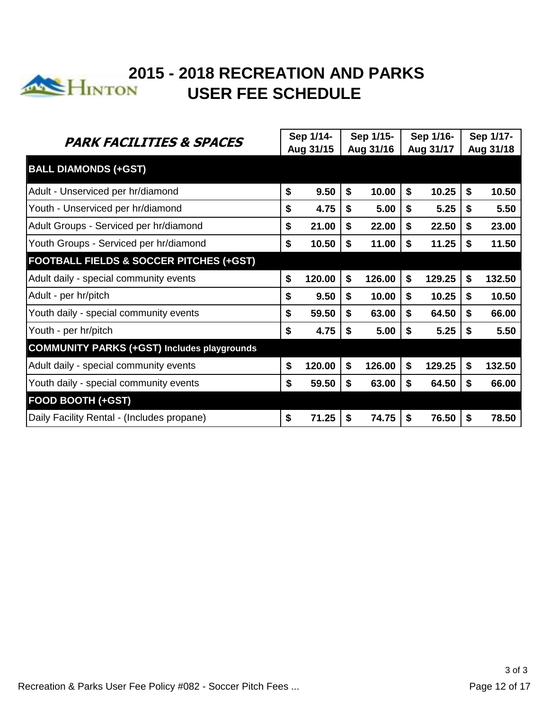

# **2015 - 2018 RECREATION AND PARKS USER FEE SCHEDULE**

| <b>PARK FACILITIES &amp; SPACES</b>                |    | Sep 1/14- |    | Sep 1/15- |           | Sep 1/16- |           | Sep 1/17- |
|----------------------------------------------------|----|-----------|----|-----------|-----------|-----------|-----------|-----------|
|                                                    |    | Aug 31/15 |    | Aug 31/16 | Aug 31/17 |           | Aug 31/18 |           |
| <b>BALL DIAMONDS (+GST)</b>                        |    |           |    |           |           |           |           |           |
| Adult - Unserviced per hr/diamond                  | \$ | 9.50      | \$ | 10.00     | \$        | 10.25     | \$        | 10.50     |
| Youth - Unserviced per hr/diamond                  | \$ | 4.75      | \$ | 5.00      | \$        | 5.25      | \$        | 5.50      |
| Adult Groups - Serviced per hr/diamond             | \$ | 21.00     | \$ | 22.00     | \$        | 22.50     | \$        | 23.00     |
| Youth Groups - Serviced per hr/diamond             | \$ | 10.50     | S  | 11.00     | \$        | 11.25     | S         | 11.50     |
| <b>FOOTBALL FIELDS &amp; SOCCER PITCHES (+GST)</b> |    |           |    |           |           |           |           |           |
| Adult daily - special community events             | \$ | 120.00    | \$ | 126.00    | \$        | 129.25    | \$        | 132.50    |
| Adult - per hr/pitch                               | \$ | 9.50      | \$ | 10.00     | \$        | 10.25     | \$        | 10.50     |
| Youth daily - special community events             | \$ | 59.50     | \$ | 63.00     | \$        | 64.50     | \$        | 66.00     |
| Youth - per hr/pitch                               | \$ | 4.75      | \$ | 5.00      | \$        | 5.25      | S         | 5.50      |
| <b>COMMUNITY PARKS (+GST) Includes playgrounds</b> |    |           |    |           |           |           |           |           |
| Adult daily - special community events             | \$ | 120.00    | \$ | 126.00    | \$        | 129.25    | \$        | 132.50    |
| Youth daily - special community events             | \$ | 59.50     | S  | 63.00     | \$        | 64.50     | S         | 66.00     |
| <b>FOOD BOOTH (+GST)</b>                           |    |           |    |           |           |           |           |           |
| Daily Facility Rental - (Includes propane)         | \$ | 71.25     | S  | 74.75     | \$        | 76.50     | S         | 78.50     |
|                                                    |    |           |    |           |           |           |           |           |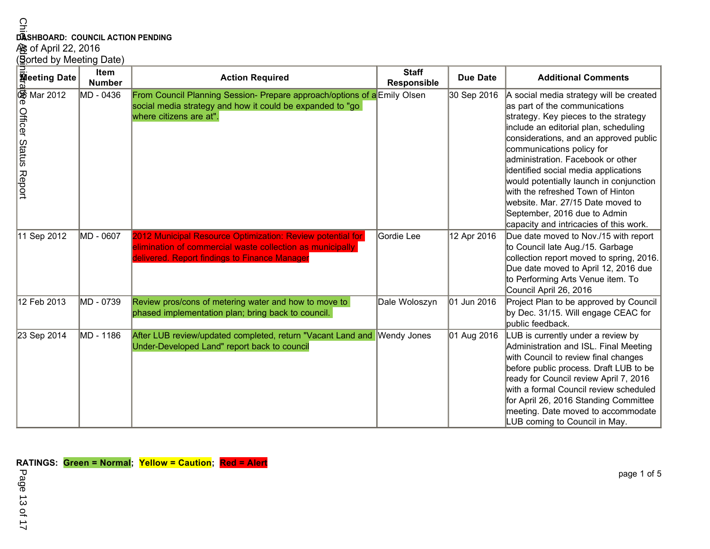| ဂ<br>ᠴ<br>DASHBOARD: COUNCIL ACTION PENDING<br>AS of April 22, 2016<br>(Sorted by Meeting Date) |                              |                                                                                                                                                                          |                             |                 |                                                                                                                                                                                                                                                                                                                                                                                                                                                                                                              |  |  |  |  |  |  |
|-------------------------------------------------------------------------------------------------|------------------------------|--------------------------------------------------------------------------------------------------------------------------------------------------------------------------|-----------------------------|-----------------|--------------------------------------------------------------------------------------------------------------------------------------------------------------------------------------------------------------------------------------------------------------------------------------------------------------------------------------------------------------------------------------------------------------------------------------------------------------------------------------------------------------|--|--|--|--|--|--|
| <b>Meeting Date</b>                                                                             | <b>Item</b><br><b>Number</b> | <b>Action Required</b>                                                                                                                                                   | <b>Staff</b><br>Responsible | <b>Due Date</b> | <b>Additional Comments</b>                                                                                                                                                                                                                                                                                                                                                                                                                                                                                   |  |  |  |  |  |  |
| <b><br/><sup>命</sup> Mar 2012</b><br><b>Officer Status Report</b>                               | MD - 0436                    | From Council Planning Session- Prepare approach/options of a Emily Olsen<br>social media strategy and how it could be expanded to "go<br>where citizens are at".         |                             | 30 Sep 2016     | A social media strategy will be created<br>as part of the communications<br>strategy. Key pieces to the strategy<br>include an editorial plan, scheduling<br>considerations, and an approved public<br>communications policy for<br>administration. Facebook or other<br>identified social media applications<br>would potentially launch in conjunction<br>with the refreshed Town of Hinton<br>website. Mar. 27/15 Date moved to<br>September, 2016 due to Admin<br>capacity and intricacies of this work. |  |  |  |  |  |  |
| 11 Sep 2012                                                                                     | MD - 0607                    | 2012 Municipal Resource Optimization: Review potential for<br>elimination of commercial waste collection as municipally<br>delivered. Report findings to Finance Manager | Gordie Lee                  | 12 Apr 2016     | Due date moved to Nov./15 with report<br>to Council late Aug./15. Garbage<br>collection report moved to spring, 2016.<br>Due date moved to April 12, 2016 due<br>to Performing Arts Venue item. To<br>Council April 26, 2016                                                                                                                                                                                                                                                                                 |  |  |  |  |  |  |
| 12 Feb 2013                                                                                     | MD - 0739                    | Review pros/cons of metering water and how to move to<br>phased implementation plan; bring back to council.                                                              | Dale Woloszyn               | 01 Jun 2016     | Project Plan to be approved by Council<br>by Dec. 31/15. Will engage CEAC for<br>public feedback.                                                                                                                                                                                                                                                                                                                                                                                                            |  |  |  |  |  |  |
| 23 Sep 2014                                                                                     | MD - 1186                    | After LUB review/updated completed, return "Vacant Land and Wendy Jones<br>Under-Developed Land" report back to council                                                  |                             | 01 Aug 2016     | LUB is currently under a review by<br>Administration and ISL. Final Meeting<br>with Council to review final changes<br>before public process. Draft LUB to be<br>ready for Council review April 7, 2016<br>with a formal Council review scheduled<br>for April 26, 2016 Standing Committee<br>meeting. Date moved to accommodate<br>LUB coming to Council in May.                                                                                                                                            |  |  |  |  |  |  |

**RATINGS: Green = Normal; Yellow = Caution; Red = Alert**

Page 13 of 17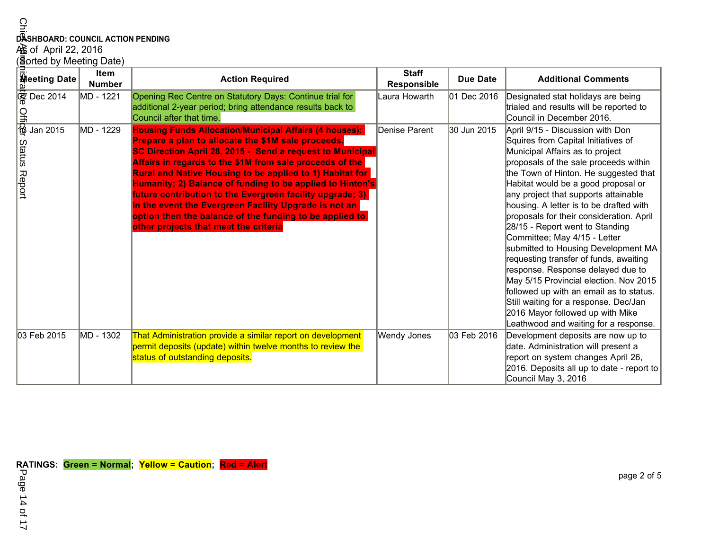| DASHBOARD: COUNCIL ACTION PENDING<br>$\frac{1}{100}$ of April 22, 2016<br>(3gorted by Meeting Date) |                              |                                                                                                                                                                                                                                                                                                                                                                                                                                                                                                                                                                                                        |                             |                 |                                                                                                                                                                                                                                                                                                                                                                                                                                                                                                                                                                                                                                                                                                                                                                        |  |  |  |  |  |  |
|-----------------------------------------------------------------------------------------------------|------------------------------|--------------------------------------------------------------------------------------------------------------------------------------------------------------------------------------------------------------------------------------------------------------------------------------------------------------------------------------------------------------------------------------------------------------------------------------------------------------------------------------------------------------------------------------------------------------------------------------------------------|-----------------------------|-----------------|------------------------------------------------------------------------------------------------------------------------------------------------------------------------------------------------------------------------------------------------------------------------------------------------------------------------------------------------------------------------------------------------------------------------------------------------------------------------------------------------------------------------------------------------------------------------------------------------------------------------------------------------------------------------------------------------------------------------------------------------------------------------|--|--|--|--|--|--|
| <b>Heeting Date</b>                                                                                 | <b>Item</b><br><b>Number</b> | <b>Action Required</b>                                                                                                                                                                                                                                                                                                                                                                                                                                                                                                                                                                                 | <b>Staff</b><br>Responsible | <b>Due Date</b> | <b>Additional Comments</b>                                                                                                                                                                                                                                                                                                                                                                                                                                                                                                                                                                                                                                                                                                                                             |  |  |  |  |  |  |
| <b>愛 Dec 2014</b><br>$\frac{Q}{\frac{38}{12}}$ Jan 2015                                             | MD - 1221                    | Opening Rec Centre on Statutory Days: Continue trial for<br>additional 2-year period; bring attendance results back to<br>Council after that time.                                                                                                                                                                                                                                                                                                                                                                                                                                                     | Laura Howarth               | 01 Dec 2016     | Designated stat holidays are being<br>trialed and results will be reported to<br>Council in December 2016.                                                                                                                                                                                                                                                                                                                                                                                                                                                                                                                                                                                                                                                             |  |  |  |  |  |  |
| <b>Status Report</b>                                                                                | MD - 1229                    | <b>Housing Funds Allocation/Municipal Affairs (4 houses):</b><br>Prepare a plan to allocate the \$1M sale proceeds.<br>SC Direction April 28, 2015 - Send a request to Municipal<br>Affairs in regards to the \$1M from sale proceeds of the<br><b>Rural and Native Housing to be applied to 1) Habitat for</b><br>Humanity; 2) Balance of funding to be applied to Hinton's<br>future contribution to the Evergreen facility upgrade; 3)<br>in the event the Evergreen Facility Upgrade is not an<br>option then the balance of the funding to be applied to<br>other projects that meet the criteria | Denise Parent               | 30 Jun 2015     | April 9/15 - Discussion with Don<br>Squires from Capital Initiatives of<br>Municipal Affairs as to project<br>proposals of the sale proceeds within<br>the Town of Hinton. He suggested that<br>Habitat would be a good proposal or<br>any project that supports attainable<br>housing. A letter is to be drafted with<br>proposals for their consideration. April<br>28/15 - Report went to Standing<br>Committee; May 4/15 - Letter<br>submitted to Housing Development MA<br>requesting transfer of funds, awaiting<br>response. Response delayed due to<br>May 5/15 Provincial election. Nov 2015<br>followed up with an email as to status.<br>Still waiting for a response. Dec/Jan<br>2016 Mayor followed up with Mike<br>Leathwood and waiting for a response. |  |  |  |  |  |  |
| 03 Feb 2015                                                                                         | MD - 1302                    | That Administration provide a similar report on development<br>permit deposits (update) within twelve months to review the<br>status of outstanding deposits.                                                                                                                                                                                                                                                                                                                                                                                                                                          | Wendy Jones                 | 03 Feb 2016     | Development deposits are now up to<br>date. Administration will present a<br>report on system changes April 26,<br>2016. Deposits all up to date - report to<br>Council May 3, 2016                                                                                                                                                                                                                                                                                                                                                                                                                                                                                                                                                                                    |  |  |  |  |  |  |

Page 14 of 17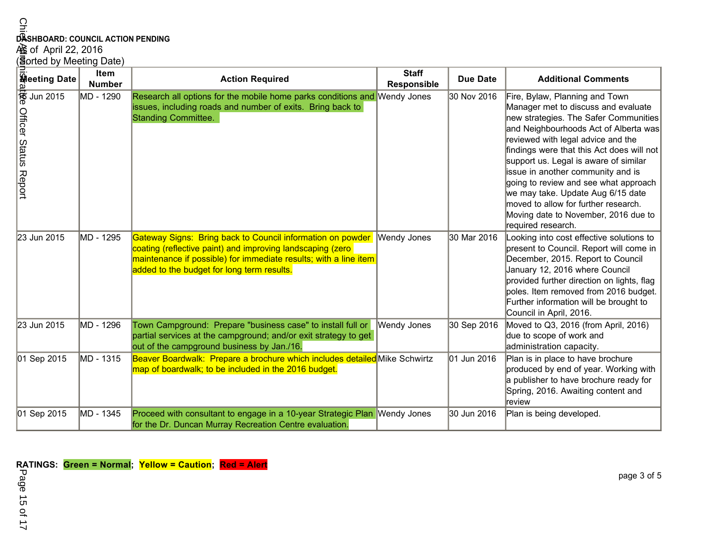| $\Omega$<br>DASHBOARD: COUNCIL ACTION PENDING<br>脸 of April 22, 2016<br>(Sorted by Meeting Date) |                       |                                                                                                                                                                                                                                            |                             |             |                                                                                                                                                                                                                                                                                                                                                                                                                                                                                                              |  |  |  |  |  |  |
|--------------------------------------------------------------------------------------------------|-----------------------|--------------------------------------------------------------------------------------------------------------------------------------------------------------------------------------------------------------------------------------------|-----------------------------|-------------|--------------------------------------------------------------------------------------------------------------------------------------------------------------------------------------------------------------------------------------------------------------------------------------------------------------------------------------------------------------------------------------------------------------------------------------------------------------------------------------------------------------|--|--|--|--|--|--|
|                                                                                                  | Item<br><b>Number</b> | <b>Action Required</b>                                                                                                                                                                                                                     | <b>Staff</b><br>Responsible | Due Date    | <b>Additional Comments</b>                                                                                                                                                                                                                                                                                                                                                                                                                                                                                   |  |  |  |  |  |  |
| <b>Speeting Date</b><br><b>Officer Status Report</b>                                             | MD - 1290             | Research all options for the mobile home parks conditions and Wendy Jones<br>issues, including roads and number of exits. Bring back to<br><b>Standing Committee.</b>                                                                      |                             | 30 Nov 2016 | Fire, Bylaw, Planning and Town<br>Manager met to discuss and evaluate<br>new strategies. The Safer Communities<br>and Neighbourhoods Act of Alberta was<br>reviewed with legal advice and the<br>findings were that this Act does will not<br>support us. Legal is aware of similar<br>issue in another community and is<br>going to review and see what approach<br>we may take. Update Aug 6/15 date<br>moved to allow for further research.<br>Moving date to November, 2016 due to<br>required research. |  |  |  |  |  |  |
| 23 Jun 2015                                                                                      | MD - 1295             | Gateway Signs: Bring back to Council information on powder<br>coating (reflective paint) and improving landscaping (zero<br>maintenance if possible) for immediate results; with a line item<br>added to the budget for long term results. | <b>Wendy Jones</b>          | 30 Mar 2016 | Looking into cost effective solutions to<br>present to Council. Report will come in<br>December, 2015. Report to Council<br>January 12, 2016 where Council<br>provided further direction on lights, flag<br>poles. Item removed from 2016 budget.<br>Further information will be brought to<br>Council in April, 2016.                                                                                                                                                                                       |  |  |  |  |  |  |
| 23 Jun 2015                                                                                      | MD - 1296             | Town Campground: Prepare "business case" to install full or<br>partial services at the campground; and/or exit strategy to get<br>out of the campground business by Jan./16.                                                               | <b>Wendy Jones</b>          | 30 Sep 2016 | Moved to Q3, 2016 (from April, 2016)<br>due to scope of work and<br>administration capacity.                                                                                                                                                                                                                                                                                                                                                                                                                 |  |  |  |  |  |  |
| 01 Sep 2015                                                                                      | MD - 1315             | Beaver Boardwalk: Prepare a brochure which includes detailed Mike Schwirtz<br>map of boardwalk; to be included in the 2016 budget.                                                                                                         |                             | 01 Jun 2016 | Plan is in place to have brochure<br>produced by end of year. Working with<br>a publisher to have brochure ready for<br>Spring, 2016. Awaiting content and<br>review                                                                                                                                                                                                                                                                                                                                         |  |  |  |  |  |  |
| 01 Sep 2015                                                                                      | MD - 1345             | Proceed with consultant to engage in a 10-year Strategic Plan Wendy Jones<br>for the Dr. Duncan Murray Recreation Centre evaluation.                                                                                                       |                             | 30 Jun 2016 | Plan is being developed.                                                                                                                                                                                                                                                                                                                                                                                                                                                                                     |  |  |  |  |  |  |

**RATINGS: Green = Normal; Yellow = Caution; Red = Alert**

Page 15 of 17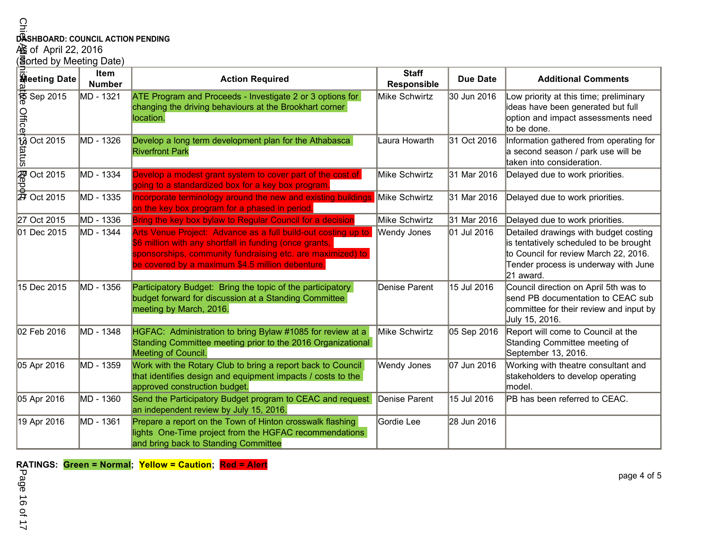| $\Omega$                                                                                                                                                                                                                                                                                                                                                    |                              |                                                                                                                                                                                                                                            |                             |                 |                                                                                                                                                                               |  |  |  |  |
|-------------------------------------------------------------------------------------------------------------------------------------------------------------------------------------------------------------------------------------------------------------------------------------------------------------------------------------------------------------|------------------------------|--------------------------------------------------------------------------------------------------------------------------------------------------------------------------------------------------------------------------------------------|-----------------------------|-----------------|-------------------------------------------------------------------------------------------------------------------------------------------------------------------------------|--|--|--|--|
| DASHBOARD: COUNCIL ACTION PENDING                                                                                                                                                                                                                                                                                                                           |                              |                                                                                                                                                                                                                                            |                             |                 |                                                                                                                                                                               |  |  |  |  |
| 心 of April 22, 2016                                                                                                                                                                                                                                                                                                                                         |                              |                                                                                                                                                                                                                                            |                             |                 |                                                                                                                                                                               |  |  |  |  |
| (3 orted by Meeting Date)                                                                                                                                                                                                                                                                                                                                   |                              |                                                                                                                                                                                                                                            |                             |                 |                                                                                                                                                                               |  |  |  |  |
| <b>Heeting Date</b>                                                                                                                                                                                                                                                                                                                                         | <b>Item</b><br><b>Number</b> | <b>Action Required</b>                                                                                                                                                                                                                     | <b>Staff</b><br>Responsible | <b>Due Date</b> | <b>Additional Comments</b>                                                                                                                                                    |  |  |  |  |
| $\frac{1}{6}$ Sep 2015                                                                                                                                                                                                                                                                                                                                      | MD - 1321                    | ATE Program and Proceeds - Investigate 2 or 3 options for<br>changing the driving behaviours at the Brookhart corner<br>location.                                                                                                          | Mike Schwirtz               | 30 Jun 2016     | Low priority at this time; preliminary<br>ideas have been generated but full<br>option and impact assessments need<br>to be done.                                             |  |  |  |  |
| $\frac{1}{100} \frac{1}{100} \cdot \frac{1}{100}$<br>$\frac{1}{100} \cdot \frac{1}{100}$<br>$\frac{1}{100} \cdot \frac{1}{100}$<br>$\frac{1}{100} \cdot \frac{1}{100}$<br>$\frac{1}{100} \cdot \frac{1}{100}$<br>$\frac{1}{100} \cdot \frac{1}{100}$<br>$\frac{1}{100} \cdot \frac{1}{100}$<br>$\frac{1}{100} \cdot \frac{1}{100}$<br>$\frac{1}{100} \cdot$ | MD - 1326                    | Develop a long term development plan for the Athabasca<br><b>Riverfront Park</b>                                                                                                                                                           | Laura Howarth               | 31 Oct 2016     | Information gathered from operating for<br>a second season / park use will be<br>taken into consideration.                                                                    |  |  |  |  |
|                                                                                                                                                                                                                                                                                                                                                             | MD - 1334                    | Develop a modest grant system to cover part of the cost of<br>going to a standardized box for a key box program.                                                                                                                           | Mike Schwirtz               | 31 Mar 2016     | Delayed due to work priorities.                                                                                                                                               |  |  |  |  |
|                                                                                                                                                                                                                                                                                                                                                             | MD - 1335                    | ncorporate terminology around the new and existing buildings<br>on the key box program for a phased in period.                                                                                                                             | Mike Schwirtz               | 31 Mar 2016     | Delayed due to work priorities.                                                                                                                                               |  |  |  |  |
| 27 Oct 2015                                                                                                                                                                                                                                                                                                                                                 | MD - 1336                    | Bring the key box bylaw to Regular Council for a decisior                                                                                                                                                                                  | Mike Schwirtz               | 31 Mar 2016     | Delayed due to work priorities.                                                                                                                                               |  |  |  |  |
| 01 Dec 2015                                                                                                                                                                                                                                                                                                                                                 | MD - 1344                    | Arts Venue Project: Advance as a full build-out costing up to<br>\$6 million with any shortfall in funding (once grants,<br>sponsorships, community fundraising etc. are maximized) to<br>be covered by a maximum \$4.5 million debenture. | Wendy Jones                 | 01 Jul 2016     | Detailed drawings with budget costing<br>is tentatively scheduled to be brought<br>to Council for review March 22, 2016.<br>Tender process is underway with June<br>21 award. |  |  |  |  |
| 15 Dec 2015                                                                                                                                                                                                                                                                                                                                                 | MD - 1356                    | Participatory Budget: Bring the topic of the participatory<br>budget forward for discussion at a Standing Committee<br>meeting by March, 2016.                                                                                             | Denise Parent               | 15 Jul 2016     | Council direction on April 5th was to<br>send PB documentation to CEAC sub<br>committee for their review and input by<br>July 15, 2016.                                       |  |  |  |  |
| 02 Feb 2016                                                                                                                                                                                                                                                                                                                                                 | MD - 1348                    | HGFAC: Administration to bring Bylaw #1085 for review at a<br>Standing Committee meeting prior to the 2016 Organizational<br>Meeting of Council.                                                                                           | Mike Schwirtz               | 05 Sep 2016     | Report will come to Council at the<br>Standing Committee meeting of<br>September 13, 2016.                                                                                    |  |  |  |  |
| 05 Apr 2016                                                                                                                                                                                                                                                                                                                                                 | MD - 1359                    | Work with the Rotary Club to bring a report back to Council<br>that identifies design and equipment impacts / costs to the<br>approved construction budget.                                                                                | Wendy Jones                 | 07 Jun 2016     | Working with theatre consultant and<br>stakeholders to develop operating<br>model.                                                                                            |  |  |  |  |
| 05 Apr 2016                                                                                                                                                                                                                                                                                                                                                 | MD - 1360                    | Send the Participatory Budget program to CEAC and request<br>an independent review by July 15, 2016.                                                                                                                                       | Denise Parent               | 15 Jul 2016     | PB has been referred to CEAC.                                                                                                                                                 |  |  |  |  |
| 19 Apr 2016                                                                                                                                                                                                                                                                                                                                                 | MD - 1361                    | Prepare a report on the Town of Hinton crosswalk flashing<br>lights One-Time project from the HGFAC recommendations<br>and bring back to Standing Committee                                                                                | Gordie Lee                  | 28 Jun 2016     |                                                                                                                                                                               |  |  |  |  |

**RATINGS: Green = Normal; Yellow = Caution; Red = Alert**

page 4 of 5